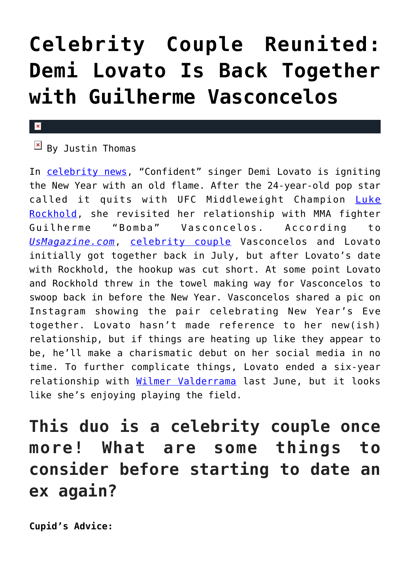## **[Celebrity Couple Reunited:](https://cupidspulse.com/116187/celebrity-couple-demi-lovato-guilherme-vasconcelos-back-together/) [Demi Lovato Is Back Together](https://cupidspulse.com/116187/celebrity-couple-demi-lovato-guilherme-vasconcelos-back-together/) [with Guilherme Vasconcelos](https://cupidspulse.com/116187/celebrity-couple-demi-lovato-guilherme-vasconcelos-back-together/)**

## $\mathbf x$

## $\boxed{\times}$  By Justin Thomas

In [celebrity news,](http://cupidspulse.com) "Confident" singer Demi Lovato is igniting the New Year with an old flame. After the 24-year-old pop star called it quits with UFC Middleweight Champion [Luke](http://cupidspulse.com/114550/new-celebrity-couple-demi-lovato-luke-rockhold/) [Rockhold](http://cupidspulse.com/114550/new-celebrity-couple-demi-lovato-luke-rockhold/), she revisited her relationship with MMA fighter Guilherme "Bomba" Vasconcelos. According to *[UsMagazine.com](http://www.usmagazine.com/celebrity-news/news/demi-lovato-is-back-together-with-mma-fighter-guilherme-vasconcelos-w459298)*, [celebrity couple](http://cupidspulse.com/celebrity-news/celebrity-dating/) Vasconcelos and Lovato initially got together back in July, but after Lovato's date with Rockhold, the hookup was cut short. At some point Lovato and Rockhold threw in the towel making way for Vasconcelos to swoop back in before the New Year. Vasconcelos shared a pic on Instagram showing the pair celebrating New Year's Eve together. Lovato hasn't made reference to her new(ish) relationship, but if things are heating up like they appear to be, he'll make a charismatic debut on her social media in no time. To further complicate things, Lovato ended a six-year relationship with [Wilmer Valderrama](http://cupidspulse.com/109932/celebrity-news-demi-lovato-wilmer-valderrama-break-up/) last June, but it looks like she's enjoying playing the field.

## **This duo is a celebrity couple once more! What are some things to consider before starting to date an ex again?**

**Cupid's Advice:**